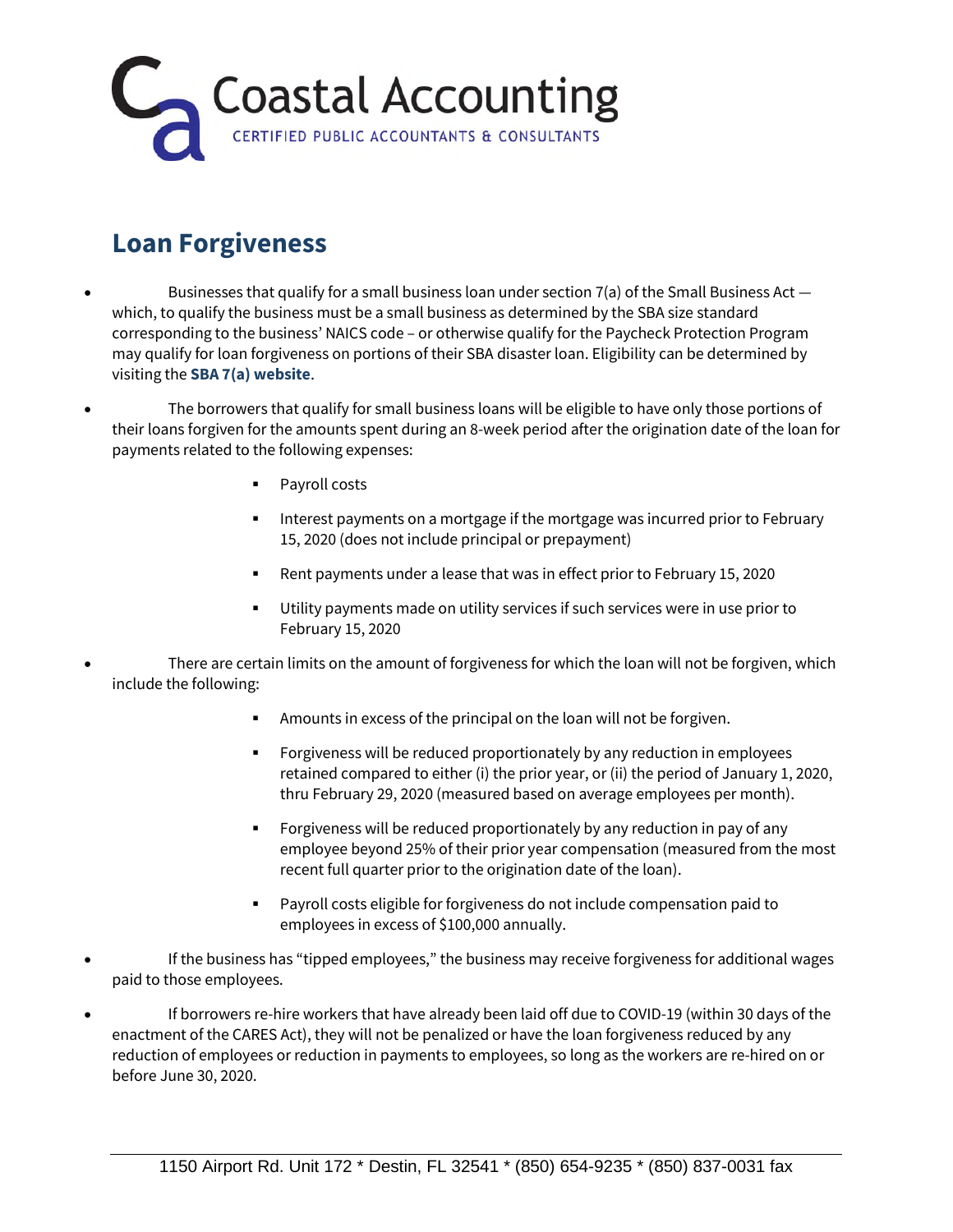

## **Loan Forgiveness**

- Businesses that qualify for a small business loan under section  $7(a)$  of the Small Business Act  $$ which, to qualify the business must be a small business as determined by the SBA size standard corresponding to the business' NAICS code – or otherwise qualify for the Paycheck Protection Program may qualify for loan forgiveness on portions of their SBA disaster loan. Eligibility can be determined by visiting the **SBA 7(a) website**.
- The borrowers that qualify for small business loans will be eligible to have only those portions of their loans forgiven for the amounts spent during an 8-week period after the origination date of the loan for payments related to the following expenses:
	- Payroll costs
	- Interest payments on a mortgage if the mortgage was incurred prior to February 15, 2020 (does not include principal or prepayment)
	- Rent payments under a lease that was in effect prior to February 15, 2020
	- Utility payments made on utility services if such services were in use prior to February 15, 2020
- There are certain limits on the amount of forgiveness for which the loan will not be forgiven, which include the following:
	- Amounts in excess of the principal on the loan will not be forgiven.
	- Forgiveness will be reduced proportionately by any reduction in employees retained compared to either (i) the prior year, or (ii) the period of January 1, 2020, thru February 29, 2020 (measured based on average employees per month).
	- Forgiveness will be reduced proportionately by any reduction in pay of any employee beyond 25% of their prior year compensation (measured from the most recent full quarter prior to the origination date of the loan).
	- Payroll costs eligible for forgiveness do not include compensation paid to employees in excess of \$100,000 annually.
- If the business has "tipped employees," the business may receive forgiveness for additional wages paid to those employees.
- If borrowers re-hire workers that have already been laid off due to COVID-19 (within 30 days of the enactment of the CARES Act), they will not be penalized or have the loan forgiveness reduced by any reduction of employees or reduction in payments to employees, so long as the workers are re-hired on or before June 30, 2020.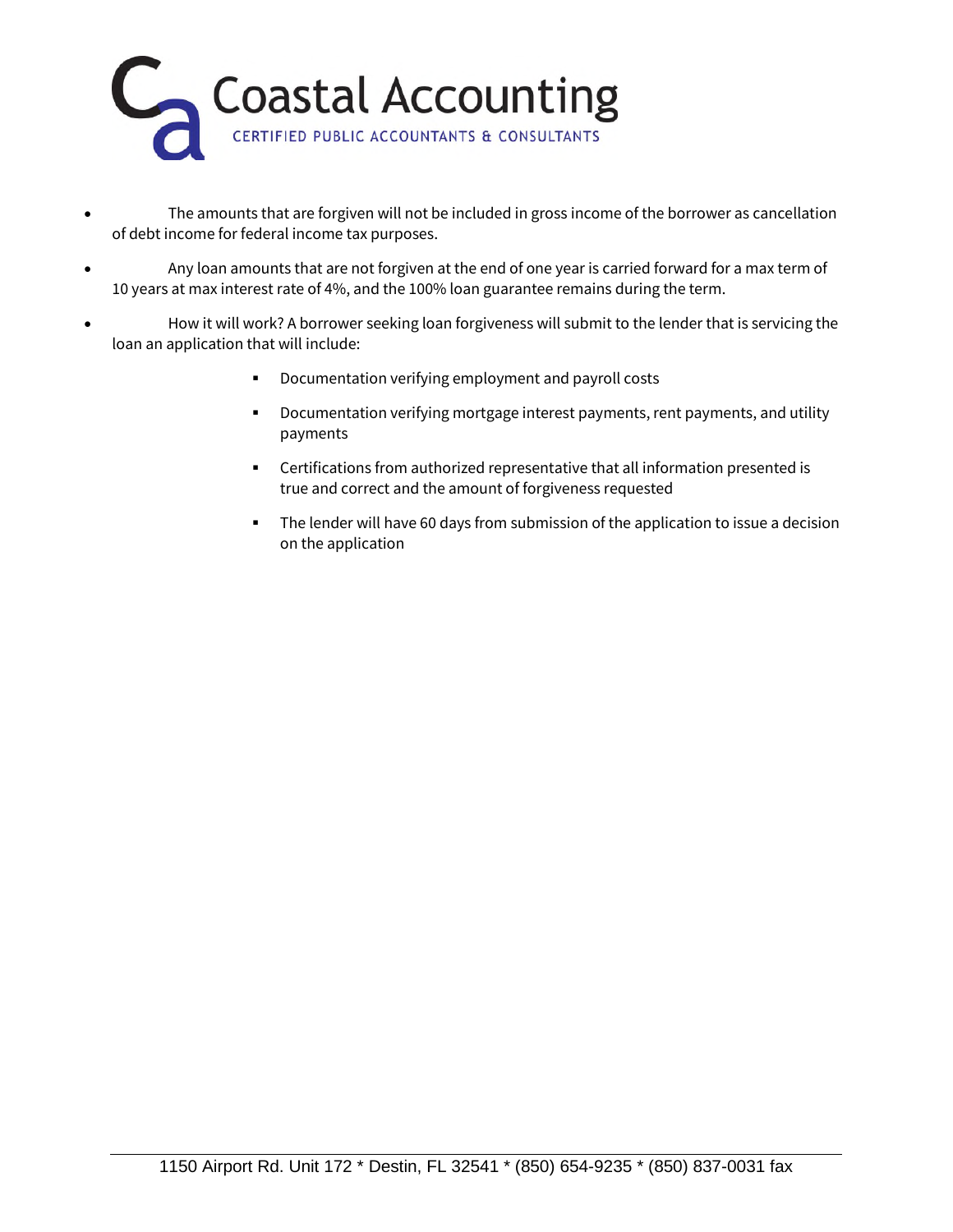

- The amounts that are forgiven will not be included in gross income of the borrower as cancellation of debt income for federal income tax purposes.
- Any loan amounts that are not forgiven at the end of one year is carried forward for a max term of 10 years at max interest rate of 4%, and the 100% loan guarantee remains during the term.
- How it will work? A borrower seeking loan forgiveness will submit to the lender that is servicing the loan an application that will include:
	- Documentation verifying employment and payroll costs
	- Documentation verifying mortgage interest payments, rent payments, and utility payments
	- Certifications from authorized representative that all information presented is true and correct and the amount of forgiveness requested
	- The lender will have 60 days from submission of the application to issue a decision on the application